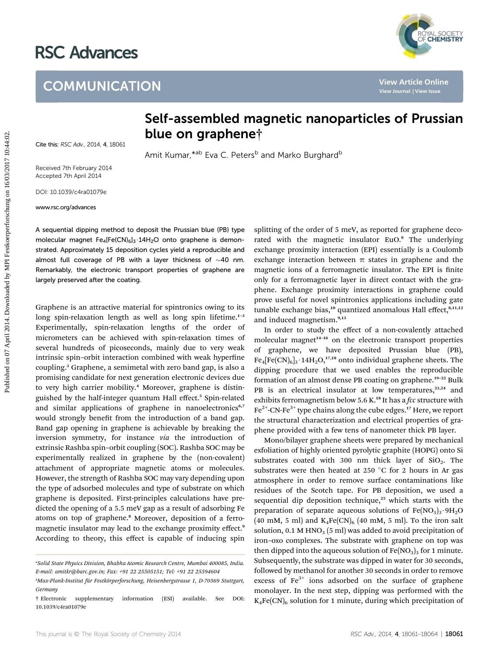## RSC Advances

## **COMMUNICATION**



Cite this: RSC Adv., 2014, 4, 18061

## Self-assembled magnetic nanoparticles of Prussian blue on graphene†

Amit Kumar,\*ab Eva C. Peters<sup>b</sup> and Marko Burghard<sup>b</sup>

Received 7th February 2014 Accepted 7th April 2014

DOI: 10.1039/c4ra01079e

www.rsc.org/advances

A sequential dipping method to deposit the Prussian blue (PB) type molecular magnet  $Fe_4[Fe(CN)_6]_3 \cdot 14H_2O$  onto graphene is demonstrated. Approximately 15 deposition cycles yield a reproducible and almost full coverage of PB with a layer thickness of  $\sim$ 40 nm. Remarkably, the electronic transport properties of graphene are largely preserved after the coating.

Graphene is an attractive material for spintronics owing to its long spin-relaxation length as well as long spin lifetime.<sup>1-3</sup> Experimentally, spin-relaxation lengths of the order of micrometers can be achieved with spin-relaxation times of several hundreds of picoseconds, mainly due to very weak intrinsic spin-orbit interaction combined with weak hyperfine coupling.<sup>3</sup> Graphene, a semimetal with zero band gap, is also a promising candidate for next generation electronic devices due to very high carrier mobility.<sup>4</sup> Moreover, graphene is distinguished by the half-integer quantum Hall effect.<sup>5</sup> Spin-related and similar applications of graphene in nanoelectronics<sup>6,7</sup> would strongly benefit from the introduction of a band gap. Band gap opening in graphene is achievable by breaking the inversion symmetry, for instance via the introduction of extrinsic Rashba spin–orbit coupling (SOC). Rashba SOC may be experimentally realized in graphene by the (non-covalent) attachment of appropriate magnetic atoms or molecules. However, the strength of Rashba SOC may vary depending upon the type of adsorbed molecules and type of substrate on which graphene is deposited. First-principles calculations have predicted the opening of a 5.5 meV gap as a result of adsorbing Fe atoms on top of graphene.<sup>8</sup> Moreover, deposition of a ferromagnetic insulator may lead to the exchange proximity effect.<sup>9</sup> According to theory, this effect is capable of inducing spin **COMMUNICATION**<br> **Self-assembled magnetic nanoparticles of Prussian (National New Article School of Prime 2014)<br>
Amit Kumar,<sup>\*\*\*</sup> Eva C. Peters<sup>®</sup> and Marko Burghard<sup>®</sup><br>
Accepted the primary 2014<br>
2014. 2012 30:12019/04:44** 

splitting of the order of 5 meV, as reported for graphene decorated with the magnetic insulator EuO.<sup>9</sup> The underlying exchange proximity interaction (EPI) essentially is a Coulomb exchange interaction between  $\pi$  states in graphene and the magnetic ions of a ferromagnetic insulator. The EPI is finite only for a ferromagnetic layer in direct contact with the graphene. Exchange proximity interactions in graphene could prove useful for novel spintronics applications including gate tunable exchange bias,<sup>10</sup> quantized anomalous Hall effect,<sup>8,11,12</sup> and induced magnetism.9,13

In order to study the effect of a non-covalently attached molecular magnet<sup>14-16</sup> on the electronic transport properties of graphene, we have deposited Prussian blue (PB),  $Fe_4[Fe(CN)_6]_3 \cdot 14H_2O$ ,<sup>17,18</sup> onto individual graphene sheets. The dipping procedure that we used enables the reproducible formation of an almost dense PB coating on graphene.<sup>19-22</sup> Bulk PB is an electrical insulator at low temperatures,<sup>23,24</sup> and exhibits ferromagnetism below 5.6 K.<sup>18</sup> It has a *fcc* structure with  $Fe<sup>2+</sup>-CN-Fe<sup>3+</sup>$  type chains along the cube edges.<sup>17</sup> Here, we report the structural characterization and electrical properties of graphene provided with a few tens of nanometer thick PB layer.

Mono/bilayer graphene sheets were prepared by mechanical exfoliation of highly oriented pyrolytic graphite (HOPG) onto Si substrates coated with 300 nm thick layer of  $SiO<sub>2</sub>$ . The substrates were then heated at 250  $^{\circ}$ C for 2 hours in Ar gas atmosphere in order to remove surface contaminations like residues of the Scotch tape. For PB deposition, we used a sequential dip deposition technique,<sup>25</sup> which starts with the preparation of separate aqueous solutions of  $Fe(NO<sub>3</sub>)<sub>3</sub>·9H<sub>2</sub>O$ (40 mM, 5 ml) and  $K_4Fe(CN)_6$  (40 mM, 5 ml). To the iron salt solution,  $0.1$  M HNO<sub>3</sub> (5 ml) was added to avoid precipitation of iron–oxo complexes. The substrate with graphene on top was then dipped into the aqueous solution of  $Fe(NO<sub>3</sub>)<sub>3</sub>$  for 1 minute. Subsequently, the substrate was dipped in water for 30 seconds, followed by methanol for another 30 seconds in order to remove excess of  $Fe<sup>3+</sup>$  ions adsorbed on the surface of graphene monolayer. In the next step, dipping was performed with the  $K_4Fe(CN)_6$  solution for 1 minute, during which precipitation of

a Solid State Physics Division, Bhabha Atomic Research Centre, Mumbai 400085, India. E-mail: amitkr@barc.gov.in; Fax: +91 22 25505151; Tel: +91 22 25594604

<sup>&</sup>lt;sup>b</sup>Max-Plank-Institut für Festkörperforschung, Heisenbergstrasse 1, D-70569 Stuttgart, Germany

<sup>†</sup> Electronic supplementary information (ESI) available. See DOI: 10.1039/c4ra01079e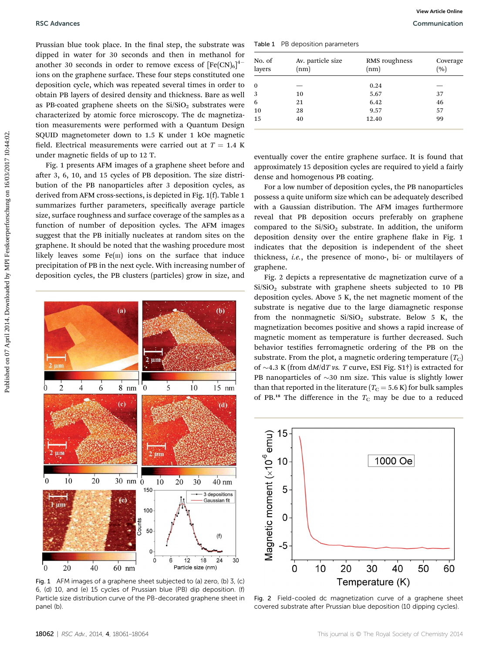Prussian blue took place. In the final step, the substrate was dipped in water for 30 seconds and then in methanol for another 30 seconds in order to remove excess of  $[{\rm Fe(CN)}_6]^{4-}$ ions on the graphene surface. These four steps constituted one deposition cycle, which was repeated several times in order to obtain PB layers of desired density and thickness. Bare as well as PB-coated graphene sheets on the  $Si/SiO<sub>2</sub>$  substrates were characterized by atomic force microscopy. The dc magnetization measurements were performed with a Quantum Design SQUID magnetometer down to 1.5 K under 1 kOe magnetic field. Electrical measurements were carried out at  $T = 1.4$  K under magnetic fields of up to 12 T. **PULSE CARRONSE CONSULTER CONSULTER CARRONSE CONSULTER CONSULTER CONSULTER CONSULTER CONSULTER CONSULTER CONSULTER CONSULTER CONSULTER CARRONSE CONSULTER CONSULTER CONSULTER CONSULTER CONSULTER CONSULTER CONSULTER CONSULT** 

Fig. 1 presents AFM images of a graphene sheet before and after 3, 6, 10, and 15 cycles of PB deposition. The size distribution of the PB nanoparticles after 3 deposition cycles, as derived from AFM cross-sections, is depicted in Fig. 1(f). Table 1 summarizes further parameters, specifically average particle size, surface roughness and surface coverage of the samples as a function of number of deposition cycles. The AFM images suggest that the PB initially nucleates at random sites on the graphene. It should be noted that the washing procedure most likely leaves some  $Fe(m)$  ions on the surface that induce precipitation of PB in the next cycle. With increasing number of deposition cycles, the PB clusters (particles) grow in size, and



Fig. 1 AFM images of a graphene sheet subjected to (a) zero, (b) 3, (c) 6, (d) 10, and (e) 15 cycles of Prussian blue (PB) dip deposition. (f) Particle size distribution curve of the PB-decorated graphene sheet in panel (b).

Table 1 PB deposition parameters

| No. of<br>layers | Av. particle size<br>(nm) | RMS roughness<br>(nm) | Coverage<br>(%) |
|------------------|---------------------------|-----------------------|-----------------|
| $\bf{0}$         |                           | 0.24                  |                 |
| 3                | 10                        | 5.67                  | 37              |
| 6                | 21                        | 6.42                  | 46              |
| 10               | 28                        | 9.57                  | 57              |
| 15               | 40                        | 12.40                 | 99              |

eventually cover the entire graphene surface. It is found that approximately 15 deposition cycles are required to yield a fairly dense and homogenous PB coating.

For a low number of deposition cycles, the PB nanoparticles possess a quite uniform size which can be adequately described with a Gaussian distribution. The AFM images furthermore reveal that PB deposition occurs preferably on graphene compared to the  $Si/SiO<sub>2</sub>$  substrate. In addition, the uniform deposition density over the entire graphene flake in Fig. 1 indicates that the deposition is independent of the sheet thickness, i.e., the presence of mono-, bi- or multilayers of graphene.

Fig. 2 depicts a representative dc magnetization curve of a  $Si/SiO<sub>2</sub>$  substrate with graphene sheets subjected to 10 PB deposition cycles. Above 5 K, the net magnetic moment of the substrate is negative due to the large diamagnetic response from the nonmagnetic  $Si/SiO<sub>2</sub>$  substrate. Below 5 K, the magnetization becomes positive and shows a rapid increase of magnetic moment as temperature is further decreased. Such behavior testifies ferromagnetic ordering of the PB on the substrate. From the plot, a magnetic ordering temperature  $(T_C)$ of  $\sim$ 4.3 K (from dM/dT vs. T curve, ESI Fig. S1<sup>†</sup>) is extracted for PB nanoparticles of  $\sim$ 30 nm size. This value is slightly lower than that reported in the literature ( $T_{\rm C}$  = 5.6 K) for bulk samples of PB.<sup>18</sup> The difference in the  $T_c$  may be due to a reduced



Fig. 2 Field-cooled dc magnetization curve of a graphene sheet covered substrate after Prussian blue deposition (10 dipping cycles).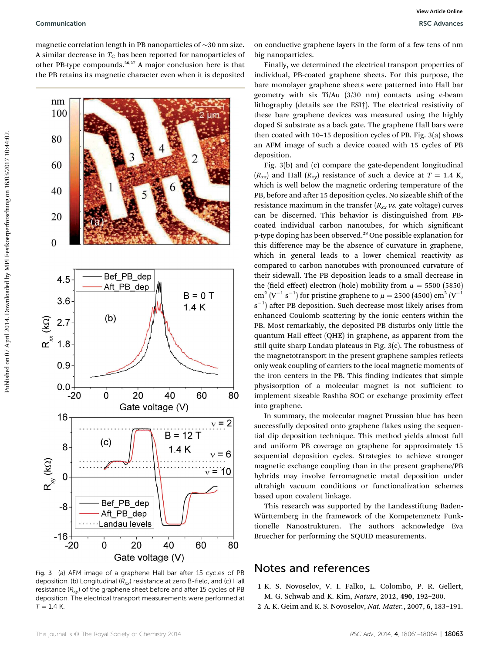magnetic correlation length in PB nanoparticles of  $\sim$ 30 nm size. A similar decrease in  $T_{\rm C}$  has been reported for nanoparticles of other PB-type compounds.26,27 A major conclusion here is that the PB retains its magnetic character even when it is deposited



Fig. 3 (a) AFM image of a graphene Hall bar after 15 cycles of PB deposition. (b) Longitudinal  $(R_{xx})$  resistance at zero B-field, and (c) Hall resistance  $(R_{xy})$  of the graphene sheet before and after 15 cycles of PB deposition. The electrical transport measurements were performed at  $T = 1.4 K$ .

on conductive graphene layers in the form of a few tens of nm big nanoparticles.

Finally, we determined the electrical transport properties of individual, PB-coated graphene sheets. For this purpose, the bare monolayer graphene sheets were patterned into Hall bar geometry with six Ti/Au (3/30 nm) contacts using e-beam lithography (details see the ESI†). The electrical resistivity of these bare graphene devices was measured using the highly doped Si substrate as a back gate. The graphene Hall bars were then coated with 10–15 deposition cycles of PB. Fig. 3(a) shows an AFM image of such a device coated with 15 cycles of PB deposition.

Fig. 3(b) and (c) compare the gate-dependent longitudinal  $(R_{xx})$  and Hall  $(R_{xy})$  resistance of such a device at  $T = 1.4$  K, which is well below the magnetic ordering temperature of the PB, before and after 15 deposition cycles. No sizeable shift of the resistance maximum in the transfer  $(R_{xx}$  vs. gate voltage) curves can be discerned. This behavior is distinguished from PBcoated individual carbon nanotubes, for which significant p-type doping has been observed.<sup>28</sup> One possible explanation for this difference may be the absence of curvature in graphene, which in general leads to a lower chemical reactivity as compared to carbon nanotubes with pronounced curvature of their sidewall. The PB deposition leads to a small decrease in the (field effect) electron (hole) mobility from  $\mu = 5500$  (5850)  $\text{cm}^2 \, (\text{V}^{-1} \, \text{s}^{-1})$  for pristine graphene to  $\mu =$  2500 (4500)  $\text{cm}^2 \, (\text{V}^{-1}$  $s^{-1}$ ) after PB deposition. Such decrease most likely arises from enhanced Coulomb scattering by the ionic centers within the PB. Most remarkably, the deposited PB disturbs only little the quantum Hall effect (QHE) in graphene, as apparent from the still quite sharp Landau plateaus in Fig. 3(c). The robustness of the magnetotransport in the present graphene samples reflects only weak coupling of carriers to the local magnetic moments of the iron centers in the PB. This finding indicates that simple physisorption of a molecular magnet is not sufficient to implement sizeable Rashba SOC or exchange proximity effect into graphene.

In summary, the molecular magnet Prussian blue has been successfully deposited onto graphene flakes using the sequential dip deposition technique. This method yields almost full and uniform PB coverage on graphene for approximately 15 sequential deposition cycles. Strategies to achieve stronger magnetic exchange coupling than in the present graphene/PB hybrids may involve ferromagnetic metal deposition under ultrahigh vacuum conditions or functionalization schemes based upon covalent linkage.

This research was supported by the Landesstiftung Baden-Württemberg in the framework of the Kompetenznetz Funktionelle Nanostrukturen. The authors acknowledge Eva Bruecher for performing the SQUID measurements.

## Notes and references

- 1 K. S. Novoselov, V. I. Falko, L. Colombo, P. R. Gellert, M. G. Schwab and K. Kim, Nature, 2012, 490, 192–200.
- 2 A. K. Geim and K. S. Novoselov, Nat. Mater., 2007, 6, 183–191.